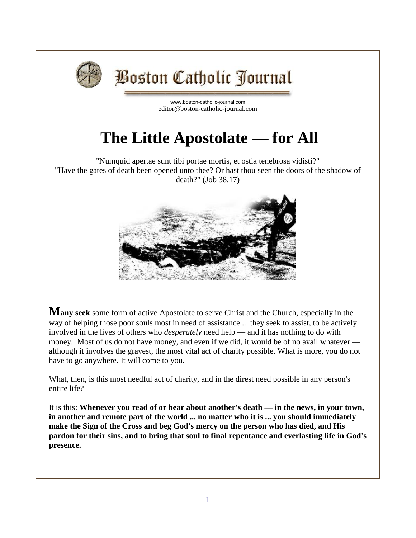

## **Boston Catholic Journal**

[www.boston-catholic-journal.com](http://www.boston-catholic-journal.com/) editor@boston-catholic-journal.com

## **The Little Apostolate — for All**

"Numquid apertae sunt tibi portae mortis, et ostia tenebrosa vidisti?" "Have the gates of death been opened unto thee? Or hast thou seen the doors of the shadow of death?" (Job 38.17)



**Many seek** some form of active Apostolate to serve Christ and the Church, especially in the way of helping those poor souls most in need of assistance ... they seek to assist, to be actively involved in the lives of others who *desperately* need help — and it has nothing to do with money. Most of us do not have money, and even if we did, it would be of no avail whatever although it involves the gravest, the most vital act of charity possible. What is more, you do not have to go anywhere. It will come to you.

What, then, is this most needful act of charity, and in the direst need possible in any person's entire life?

It is this: **Whenever you read of or hear about another's death — in the news, in your town, in another and remote part of the world ... no matter who it is ... you should immediately make the Sign of the Cross and beg God's mercy on the person who has died, and His pardon for their sins, and to bring that soul to final repentance and everlasting life in God's presence.**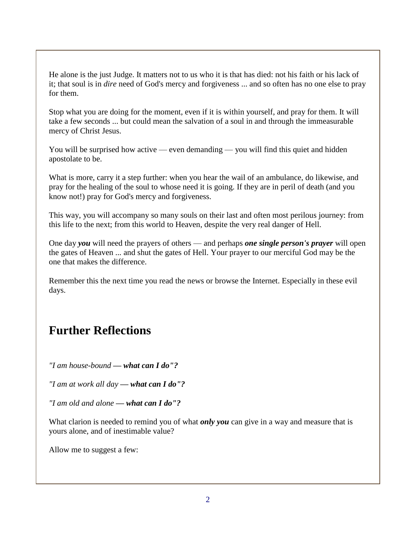He alone is the just Judge. It matters not to us who it is that has died: not his faith or his lack of it; that soul is in *dire* need of God's mercy and forgiveness ... and so often has no one else to pray for them.

Stop what you are doing for the moment, even if it is within yourself, and pray for them. It will take a few seconds ... but could mean the salvation of a soul in and through the immeasurable mercy of Christ Jesus.

You will be surprised how active — even demanding — you will find this quiet and hidden apostolate to be.

What is more, carry it a step further: when you hear the wail of an ambulance, do likewise, and pray for the healing of the soul to whose need it is going. If they are in peril of death (and you know not!) pray for God's mercy and forgiveness.

This way, you will accompany so many souls on their last and often most perilous journey: from this life to the next; from this world to Heaven, despite the very real danger of Hell.

One day *you* will need the prayers of others — and perhaps *one single person's prayer* will open the gates of Heaven ... and shut the gates of Hell. Your prayer to our merciful God may be the one that makes the difference.

Remember this the next time you read the news or browse the Internet. Especially in these evil days.

## **Further Reflections**

*"I am house-bound — what can I do"?*

*"I am at work all day — what can I do"?*

*"I am old and alone — what can I do"?*

What clarion is needed to remind you of what *only you* can give in a way and measure that is yours alone, and of inestimable value?

Allow me to suggest a few: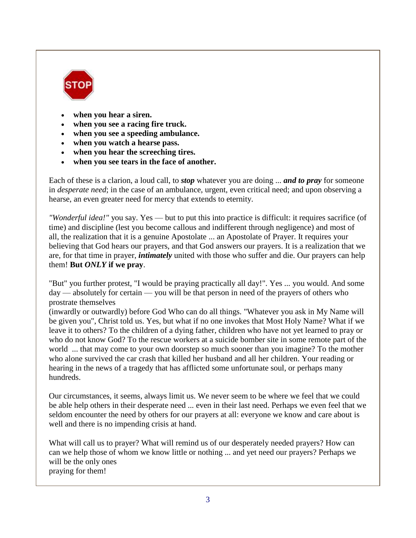

- **when you hear a siren.**
- **when you see a racing fire truck.**
- **when you see a speeding ambulance.**
- **when you watch a hearse pass.**
- **when you hear the screeching tires.**
- **when you see tears in the face of another.**

Each of these is a clarion, a loud call, to *stop* whatever you are doing ... *and to pray* for someone in *desperate need*; in the case of an ambulance, urgent, even critical need; and upon observing a hearse, an even greater need for mercy that extends to eternity.

*"Wonderful idea!"* you say. Yes — but to put this into practice is difficult: it requires sacrifice (of time) and discipline (lest you become callous and indifferent through negligence) and most of all, the realization that it is a genuine Apostolate ... an Apostolate of Prayer. It requires your believing that God hears our prayers, and that God answers our prayers. It is a realization that we are, for that time in prayer, *intimately* united with those who suffer and die. Our prayers can help them! **But** *ONLY* **if we pray**.

"But" you further protest, "I would be praying practically all day!". Yes ... you would. And some day — absolutely for certain — you will be that person in need of the prayers of others who prostrate themselves

(inwardly or outwardly) before God Who can do all things. "Whatever you ask in My Name will be given you", Christ told us. Yes, but what if no one invokes that Most Holy Name? What if we leave it to others? To the children of a dying father, children who have not yet learned to pray or who do not know God? To the rescue workers at a suicide bomber site in some remote part of the world ... that may come to your own doorstep so much sooner than you imagine? To the mother who alone survived the car crash that killed her husband and all her children. Your reading or hearing in the news of a tragedy that has afflicted some unfortunate soul, or perhaps many hundreds.

Our circumstances, it seems, always limit us. We never seem to be where we feel that we could be able help others in their desperate need ... even in their last need. Perhaps we even feel that we seldom encounter the need by others for our prayers at all: everyone we know and care about is well and there is no impending crisis at hand.

What will call us to prayer? What will remind us of our desperately needed prayers? How can can we help those of whom we know little or nothing ... and yet need our prayers? Perhaps we will be the only ones praying for them!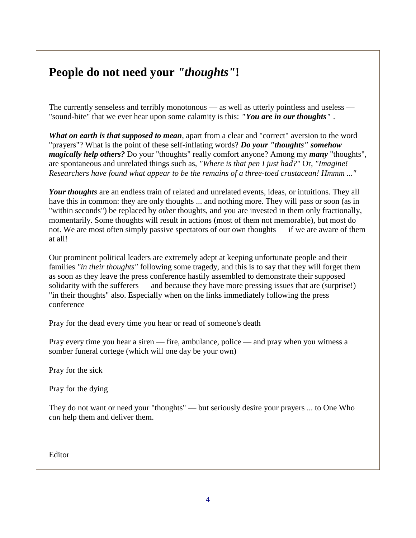## **People do not need your** *"thoughts"***!**

The currently senseless and terribly monotonous — as well as utterly pointless and useless — "sound-bite" that we ever hear upon some calamity is this: *"You are in our thoughts"* .

*What on earth is that supposed to mean*, apart from a clear and "correct" aversion to the word "prayers"? What is the point of these self-inflating words? *Do your "thoughts" somehow magically help others?* Do your "thoughts" really comfort anyone? Among my *many* "thoughts", are spontaneous and unrelated things such as, *"Where is that pen I just had?"* Or, *"Imagine! Researchers have found what appear to be the remains of a three-toed crustacean! Hmmm ..."*

*Your thoughts* are an endless train of related and unrelated events, ideas, or intuitions. They all have this in common: they are only thoughts ... and nothing more. They will pass or soon (as in "within seconds") be replaced by *other* thoughts, and you are invested in them only fractionally, momentarily. Some thoughts will result in actions (most of them not memorable), but most do not. We are most often simply passive spectators of our own thoughts — if we are aware of them at all!

Our prominent political leaders are extremely adept at keeping unfortunate people and their families *"in their thoughts"* following some tragedy, and this is to say that they will forget them as soon as they leave the press conference hastily assembled to demonstrate their supposed solidarity with the sufferers — and because they have more pressing issues that are (surprise!) "in their thoughts" also. Especially when on the links immediately following the press conference

Pray for the dead every time you hear or read of someone's death

Pray every time you hear a siren — fire, ambulance, police — and pray when you witness a somber funeral cortege (which will one day be your own)

Pray for the sick

Pray for the dying

They do not want or need your "thoughts" — but seriously desire your prayers ... to One Who *can* help them and deliver them.

Editor